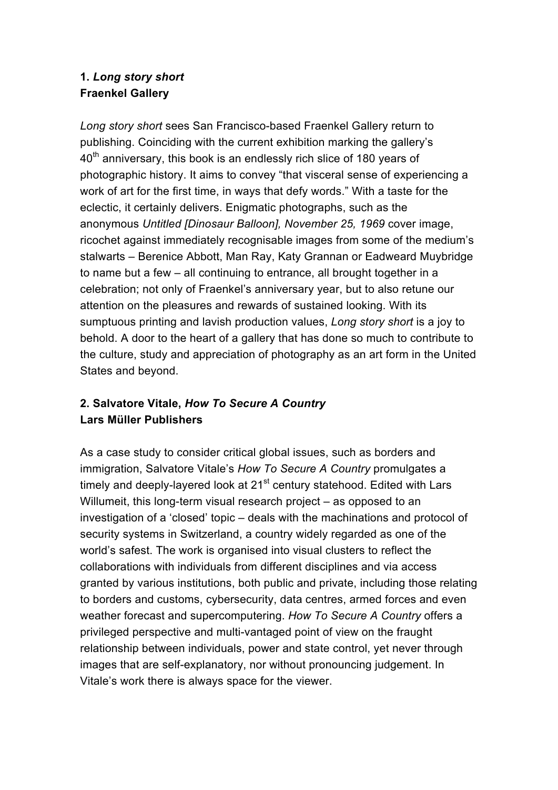### **1.** *Long story short* **Fraenkel Gallery**

*Long story short* sees San Francisco-based Fraenkel Gallery return to publishing. Coinciding with the current exhibition marking the gallery's  $40<sup>th</sup>$  anniversary, this book is an endlessly rich slice of 180 years of photographic history. It aims to convey "that visceral sense of experiencing a work of art for the first time, in ways that defy words." With a taste for the eclectic, it certainly delivers. Enigmatic photographs, such as the anonymous *Untitled [Dinosaur Balloon], November 25, 1969* cover image, ricochet against immediately recognisable images from some of the medium's stalwarts – Berenice Abbott, Man Ray, Katy Grannan or Eadweard Muybridge to name but a few – all continuing to entrance, all brought together in a celebration; not only of Fraenkel's anniversary year, but to also retune our attention on the pleasures and rewards of sustained looking. With its sumptuous printing and lavish production values, *Long story short* is a joy to behold. A door to the heart of a gallery that has done so much to contribute to the culture, study and appreciation of photography as an art form in the United States and beyond.

# **2. Salvatore Vitale,** *How To Secure A Country* **Lars Müller Publishers**

As a case study to consider critical global issues, such as borders and immigration, Salvatore Vitale's *How To Secure A Country* promulgates a timely and deeply-layered look at  $21<sup>st</sup>$  century statehood. Edited with Lars Willumeit, this long-term visual research project – as opposed to an investigation of a 'closed' topic – deals with the machinations and protocol of security systems in Switzerland, a country widely regarded as one of the world's safest. The work is organised into visual clusters to reflect the collaborations with individuals from different disciplines and via access granted by various institutions, both public and private, including those relating to borders and customs, cybersecurity, data centres, armed forces and even weather forecast and supercomputering. *How To Secure A Country* offers a privileged perspective and multi-vantaged point of view on the fraught relationship between individuals, power and state control, yet never through images that are self-explanatory, nor without pronouncing judgement. In Vitale's work there is always space for the viewer.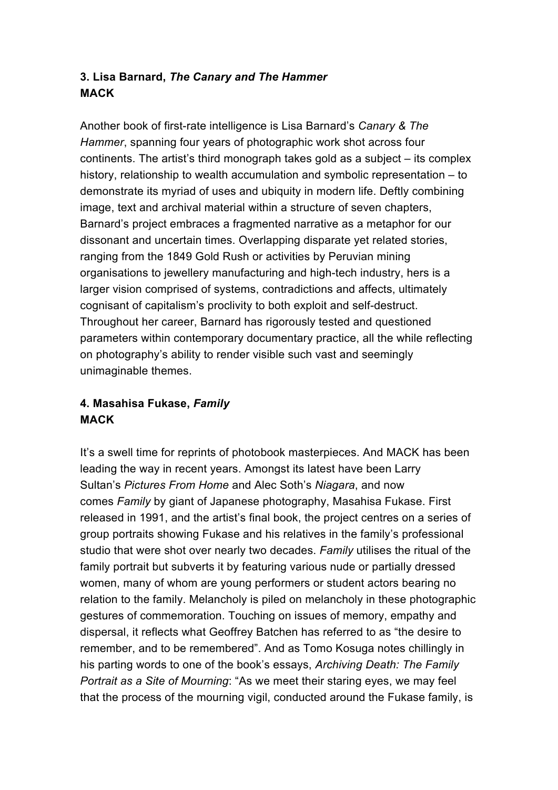## **3. Lisa Barnard,** *The Canary and The Hammer* **MACK**

Another book of first-rate intelligence is Lisa Barnard's *Canary & The Hammer*, spanning four years of photographic work shot across four continents. The artist's third monograph takes gold as a subject – its complex history, relationship to wealth accumulation and symbolic representation – to demonstrate its myriad of uses and ubiquity in modern life. Deftly combining image, text and archival material within a structure of seven chapters, Barnard's project embraces a fragmented narrative as a metaphor for our dissonant and uncertain times. Overlapping disparate yet related stories, ranging from the 1849 Gold Rush or activities by Peruvian mining organisations to jewellery manufacturing and high-tech industry, hers is a larger vision comprised of systems, contradictions and affects, ultimately cognisant of capitalism's proclivity to both exploit and self-destruct. Throughout her career, Barnard has rigorously tested and questioned parameters within contemporary documentary practice, all the while reflecting on photography's ability to render visible such vast and seemingly unimaginable themes.

# **4. Masahisa Fukase,** *Family* **MACK**

It's a swell time for reprints of photobook masterpieces. And MACK has been leading the way in recent years. Amongst its latest have been Larry Sultan's *Pictures From Home* and Alec Soth's *Niagara*, and now comes *Family* by giant of Japanese photography, Masahisa Fukase. First released in 1991, and the artist's final book, the project centres on a series of group portraits showing Fukase and his relatives in the family's professional studio that were shot over nearly two decades. *Family* utilises the ritual of the family portrait but subverts it by featuring various nude or partially dressed women, many of whom are young performers or student actors bearing no relation to the family. Melancholy is piled on melancholy in these photographic gestures of commemoration. Touching on issues of memory, empathy and dispersal, it reflects what Geoffrey Batchen has referred to as "the desire to remember, and to be remembered". And as Tomo Kosuga notes chillingly in his parting words to one of the book's essays, *Archiving Death: The Family Portrait as a Site of Mourning*: "As we meet their staring eyes, we may feel that the process of the mourning vigil, conducted around the Fukase family, is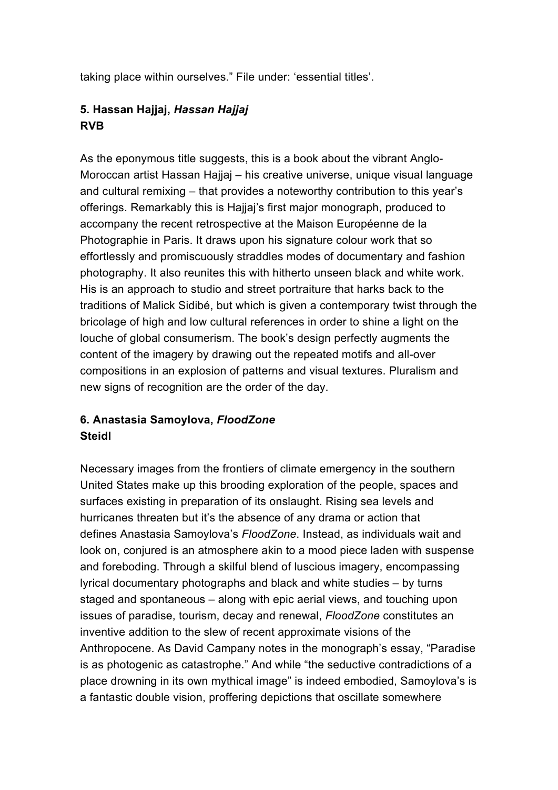taking place within ourselves." File under: 'essential titles'.

# **5. Hassan Hajjaj,** *Hassan Hajjaj* **RVB**

As the eponymous title suggests, this is a book about the vibrant Anglo-Moroccan artist Hassan Hajjaj – his creative universe, unique visual language and cultural remixing – that provides a noteworthy contribution to this year's offerings. Remarkably this is Hajjaj's first major monograph, produced to accompany the recent retrospective at the Maison Européenne de la Photographie in Paris. It draws upon his signature colour work that so effortlessly and promiscuously straddles modes of documentary and fashion photography. It also reunites this with hitherto unseen black and white work. His is an approach to studio and street portraiture that harks back to the traditions of Malick Sidibé, but which is given a contemporary twist through the bricolage of high and low cultural references in order to shine a light on the louche of global consumerism. The book's design perfectly augments the content of the imagery by drawing out the repeated motifs and all-over compositions in an explosion of patterns and visual textures. Pluralism and new signs of recognition are the order of the day.

### **6. Anastasia Samoylova,** *FloodZone* **Steidl**

Necessary images from the frontiers of climate emergency in the southern United States make up this brooding exploration of the people, spaces and surfaces existing in preparation of its onslaught. Rising sea levels and hurricanes threaten but it's the absence of any drama or action that defines Anastasia Samoylova's *FloodZone*. Instead, as individuals wait and look on, conjured is an atmosphere akin to a mood piece laden with suspense and foreboding. Through a skilful blend of luscious imagery, encompassing lyrical documentary photographs and black and white studies – by turns staged and spontaneous – along with epic aerial views, and touching upon issues of paradise, tourism, decay and renewal, *FloodZone* constitutes an inventive addition to the slew of recent approximate visions of the Anthropocene. As David Campany notes in the monograph's essay, "Paradise is as photogenic as catastrophe." And while "the seductive contradictions of a place drowning in its own mythical image" is indeed embodied, Samoylova's is a fantastic double vision, proffering depictions that oscillate somewhere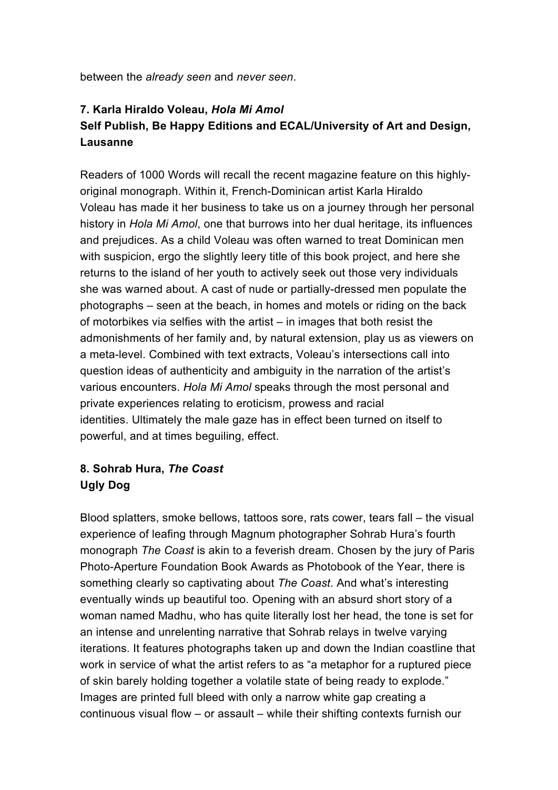between the *already seen* and *never seen*.

# **7. Karla Hiraldo Voleau,** *Hola Mi Amol* **Self Publish, Be Happy Editions and ECAL/University of Art and Design, Lausanne**

Readers of 1000 Words will recall the recent magazine feature on this highlyoriginal monograph. Within it, French-Dominican artist Karla Hiraldo Voleau has made it her business to take us on a journey through her personal history in *Hola Mi Amol*, one that burrows into her dual heritage, its influences and prejudices. As a child Voleau was often warned to treat Dominican men with suspicion, ergo the slightly leery title of this book project, and here she returns to the island of her youth to actively seek out those very individuals she was warned about. A cast of nude or partially-dressed men populate the photographs – seen at the beach, in homes and motels or riding on the back of motorbikes via selfies with the artist – in images that both resist the admonishments of her family and, by natural extension, play us as viewers on a meta-level. Combined with text extracts, Voleau's intersections call into question ideas of authenticity and ambiguity in the narration of the artist's various encounters. *Hola Mi Amol* speaks through the most personal and private experiences relating to eroticism, prowess and racial identities. Ultimately the male gaze has in effect been turned on itself to powerful, and at times beguiling, effect.

# **8. Sohrab Hura,** *The Coast* **Ugly Dog**

Blood splatters, smoke bellows, tattoos sore, rats cower, tears fall – the visual experience of leafing through Magnum photographer Sohrab Hura's fourth monograph *The Coast* is akin to a feverish dream. Chosen by the jury of Paris Photo-Aperture Foundation Book Awards as Photobook of the Year, there is something clearly so captivating about *The Coast*. And what's interesting eventually winds up beautiful too. Opening with an absurd short story of a woman named Madhu, who has quite literally lost her head, the tone is set for an intense and unrelenting narrative that Sohrab relays in twelve varying iterations. It features photographs taken up and down the Indian coastline that work in service of what the artist refers to as "a metaphor for a ruptured piece of skin barely holding together a volatile state of being ready to explode." Images are printed full bleed with only a narrow white gap creating a continuous visual flow – or assault – while their shifting contexts furnish our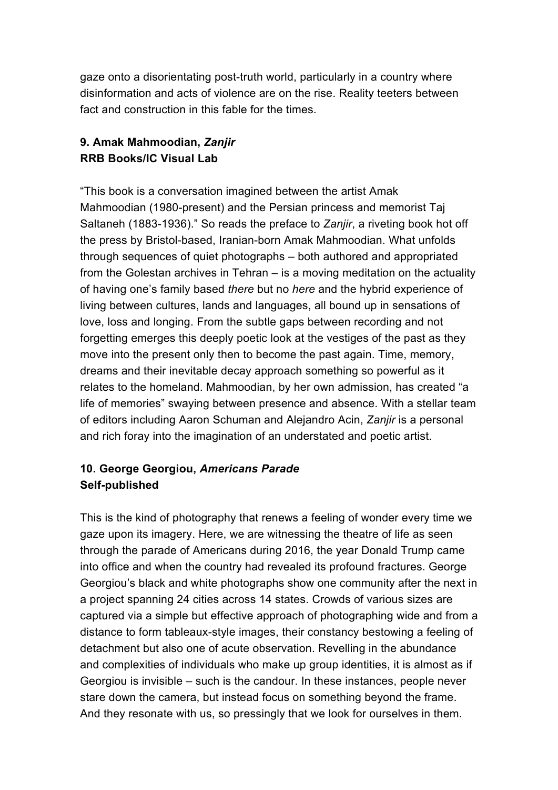gaze onto a disorientating post-truth world, particularly in a country where disinformation and acts of violence are on the rise. Reality teeters between fact and construction in this fable for the times.

## **9. Amak Mahmoodian,** *Zanjir* **RRB Books/IC Visual Lab**

"This book is a conversation imagined between the artist Amak Mahmoodian (1980-present) and the Persian princess and memorist Taj Saltaneh (1883-1936)." So reads the preface to *Zanjir*, a riveting book hot off the press by Bristol-based, Iranian-born Amak Mahmoodian. What unfolds through sequences of quiet photographs – both authored and appropriated from the Golestan archives in Tehran – is a moving meditation on the actuality of having one's family based *there* but no *here* and the hybrid experience of living between cultures, lands and languages, all bound up in sensations of love, loss and longing. From the subtle gaps between recording and not forgetting emerges this deeply poetic look at the vestiges of the past as they move into the present only then to become the past again. Time, memory, dreams and their inevitable decay approach something so powerful as it relates to the homeland. Mahmoodian, by her own admission, has created "a life of memories" swaying between presence and absence. With a stellar team of editors including Aaron Schuman and Alejandro Acin, *Zanjir* is a personal and rich foray into the imagination of an understated and poetic artist.

### **10. George Georgiou,** *Americans Parade* **Self-published**

This is the kind of photography that renews a feeling of wonder every time we gaze upon its imagery. Here, we are witnessing the theatre of life as seen through the parade of Americans during 2016, the year Donald Trump came into office and when the country had revealed its profound fractures. George Georgiou's black and white photographs show one community after the next in a project spanning 24 cities across 14 states. Crowds of various sizes are captured via a simple but effective approach of photographing wide and from a distance to form tableaux-style images, their constancy bestowing a feeling of detachment but also one of acute observation. Revelling in the abundance and complexities of individuals who make up group identities, it is almost as if Georgiou is invisible – such is the candour. In these instances, people never stare down the camera, but instead focus on something beyond the frame. And they resonate with us, so pressingly that we look for ourselves in them.